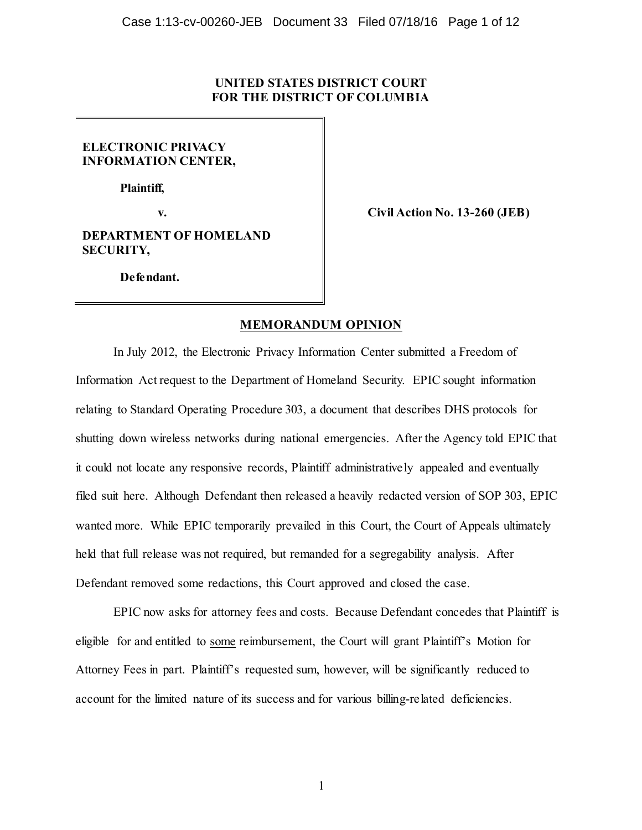# **UNITED STATES DISTRICT COURT FOR THE DISTRICT OF COLUMBIA**

# **ELECTRONIC PRIVACY INFORMATION CENTER,**

**Plaintiff,**

**v. Civil Action No. 13-260 (JEB)**

**DEPARTMENT OF HOMELAND SECURITY,**

**Defendant.**

# **MEMORANDUM OPINION**

In July 2012, the Electronic Privacy Information Center submitted a Freedom of Information Act request to the Department of Homeland Security. EPIC sought information relating to Standard Operating Procedure 303, a document that describes DHS protocols for shutting down wireless networks during national emergencies. After the Agency told EPIC that it could not locate any responsive records, Plaintiff administratively appealed and eventually filed suit here. Although Defendant then released a heavily redacted version of SOP 303, EPIC wanted more. While EPIC temporarily prevailed in this Court, the Court of Appeals ultimately held that full release was not required, but remanded for a segregability analysis. After Defendant removed some redactions, this Court approved and closed the case.

EPIC now asks for attorney fees and costs. Because Defendant concedes that Plaintiff is eligible for and entitled to some reimbursement, the Court will grant Plaintiff's Motion for Attorney Fees in part. Plaintiff's requested sum, however, will be significantly reduced to account for the limited nature of its success and for various billing-related deficiencies.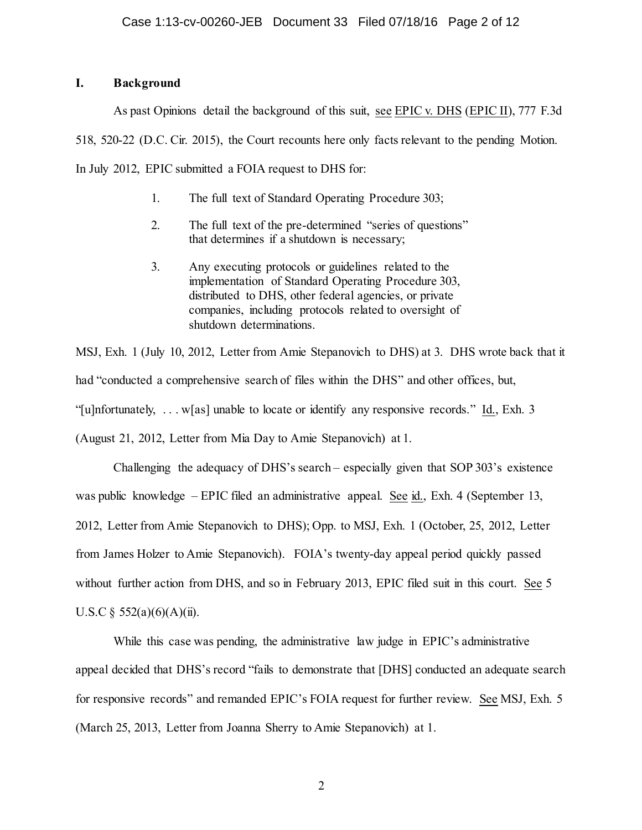# **I. Background**

As past Opinions detail the background of this suit, see EPIC v. DHS (EPIC II), 777 F.3d

518, 520-22 (D.C. Cir. 2015), the Court recounts here only facts relevant to the pending Motion.

In July 2012, EPIC submitted a FOIA request to DHS for:

- 1. The full text of Standard Operating Procedure 303;
- 2. The full text of the pre-determined "series of questions" that determines if a shutdown is necessary;
- 3. Any executing protocols or guidelines related to the implementation of Standard Operating Procedure 303, distributed to DHS, other federal agencies, or private companies, including protocols related to oversight of shutdown determinations.

MSJ, Exh. 1 (July 10, 2012, Letter from Amie Stepanovich to DHS) at 3. DHS wrote back that it had "conducted a comprehensive search of files within the DHS" and other offices, but, "[u]nfortunately, . . . w[as] unable to locate or identify any responsive records." Id., Exh. 3 (August 21, 2012, Letter from Mia Day to Amie Stepanovich) at 1.

Challenging the adequacy of DHS's search – especially given that SOP 303's existence was public knowledge – EPIC filed an administrative appeal. See id., Exh. 4 (September 13, 2012, Letter from Amie Stepanovich to DHS); Opp. to MSJ, Exh. 1 (October, 25, 2012, Letter from James Holzer to Amie Stepanovich). FOIA's twenty-day appeal period quickly passed without further action from DHS, and so in February 2013, EPIC filed suit in this court. See 5 U.S.C § 552(a)(6)(A)(ii).

While this case was pending, the administrative law judge in EPIC's administrative appeal decided that DHS's record "fails to demonstrate that [DHS] conducted an adequate search for responsive records" and remanded EPIC's FOIA request for further review. See MSJ, Exh. 5 (March 25, 2013, Letter from Joanna Sherry to Amie Stepanovich) at 1.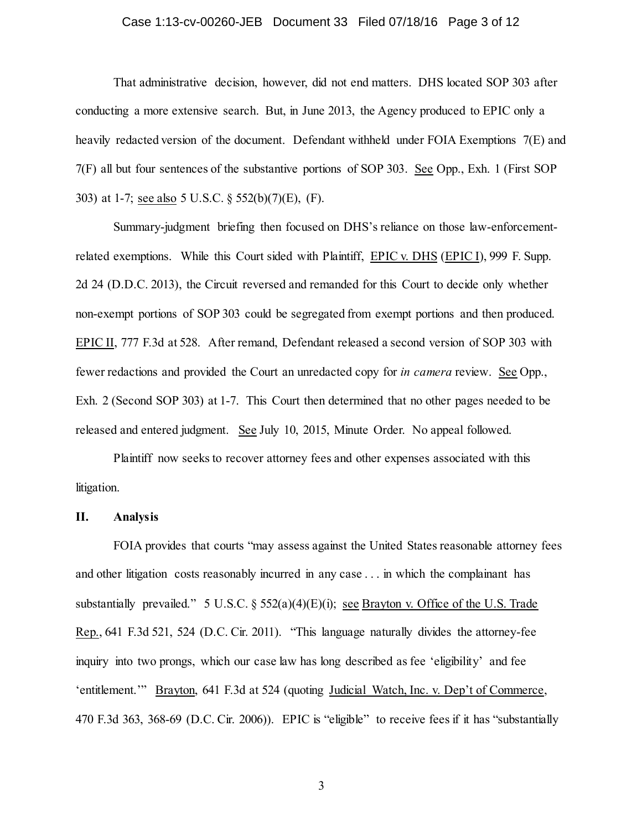# Case 1:13-cv-00260-JEB Document 33 Filed 07/18/16 Page 3 of 12

That administrative decision, however, did not end matters. DHS located SOP 303 after conducting a more extensive search. But, in June 2013, the Agency produced to EPIC only a heavily redacted version of the document. Defendant withheld under FOIA Exemptions 7(E) and 7(F) all but four sentences of the substantive portions of SOP 303. See Opp., Exh. 1 (First SOP 303) at 1-7; see also 5 U.S.C. § 552(b)(7)(E), (F).

Summary-judgment briefing then focused on DHS's reliance on those law-enforcementrelated exemptions. While this Court sided with Plaintiff, EPIC v. DHS (EPIC I), 999 F. Supp. 2d 24 (D.D.C. 2013), the Circuit reversed and remanded for this Court to decide only whether non-exempt portions of SOP 303 could be segregated from exempt portions and then produced. EPIC II, 777 F.3d at 528. After remand, Defendant released a second version of SOP 303 with fewer redactions and provided the Court an unredacted copy for *in camera* review. See Opp., Exh. 2 (Second SOP 303) at 1-7. This Court then determined that no other pages needed to be released and entered judgment. See July 10, 2015, Minute Order. No appeal followed.

Plaintiff now seeks to recover attorney fees and other expenses associated with this litigation.

#### **II. Analysis**

FOIA provides that courts "may assess against the United States reasonable attorney fees and other litigation costs reasonably incurred in any case . . . in which the complainant has substantially prevailed." 5 U.S.C.  $\S$  552(a)(4)(E)(i); see Brayton v. Office of the U.S. Trade Rep., 641 F.3d 521, 524 (D.C. Cir. 2011). "This language naturally divides the attorney-fee inquiry into two prongs, which our case law has long described as fee 'eligibility' and fee 'entitlement.'" Brayton, 641 F.3d at 524 (quoting Judicial Watch, Inc. v. Dep't of Commerce, 470 F.3d 363, 368-69 (D.C. Cir. 2006)). EPIC is "eligible" to receive fees if it has "substantially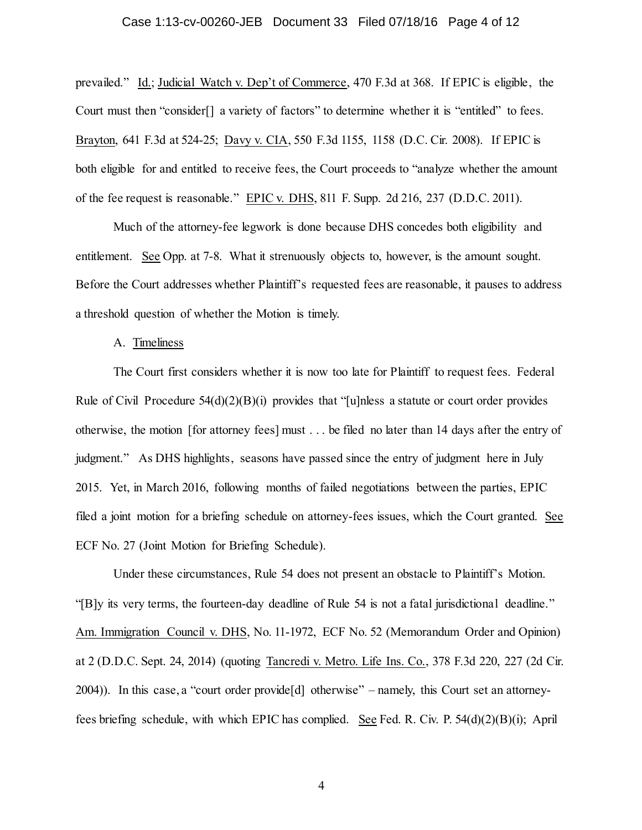# Case 1:13-cv-00260-JEB Document 33 Filed 07/18/16 Page 4 of 12

prevailed." Id.; Judicial Watch v. Dep't of Commerce, 470 F.3d at 368. If EPIC is eligible, the Court must then "consider[] a variety of factors" to determine whether it is "entitled" to fees. Brayton, 641 F.3d at 524-25; Davy v. CIA, 550 F.3d 1155, 1158 (D.C. Cir. 2008). If EPIC is both eligible for and entitled to receive fees, the Court proceeds to "analyze whether the amount of the fee request is reasonable." EPIC v. DHS, 811 F. Supp. 2d 216, 237 (D.D.C. 2011).

Much of the attorney-fee legwork is done because DHS concedes both eligibility and entitlement. See Opp. at 7-8. What it strenuously objects to, however, is the amount sought. Before the Court addresses whether Plaintiff's requested fees are reasonable, it pauses to address a threshold question of whether the Motion is timely.

# A. Timeliness

The Court first considers whether it is now too late for Plaintiff to request fees. Federal Rule of Civil Procedure  $54(d)(2)(B)(i)$  provides that "[u]nless a statute or court order provides otherwise, the motion [for attorney fees] must . . . be filed no later than 14 days after the entry of judgment." As DHS highlights, seasons have passed since the entry of judgment here in July 2015. Yet, in March 2016, following months of failed negotiations between the parties, EPIC filed a joint motion for a briefing schedule on attorney-fees issues, which the Court granted. See ECF No. 27 (Joint Motion for Briefing Schedule).

Under these circumstances, Rule 54 does not present an obstacle to Plaintiff's Motion. "[B]y its very terms, the fourteen-day deadline of Rule 54 is not a fatal jurisdictional deadline." Am. Immigration Council v. DHS, No. 11-1972, ECF No. 52 (Memorandum Order and Opinion) at 2 (D.D.C. Sept. 24, 2014) (quoting Tancredi v. Metro. Life Ins. Co., 378 F.3d 220, 227 (2d Cir. 2004)). In this case, a "court order provide[d] otherwise" – namely, this Court set an attorneyfees briefing schedule, with which EPIC has complied. See Fed. R. Civ. P. 54(d)(2)(B)(i); April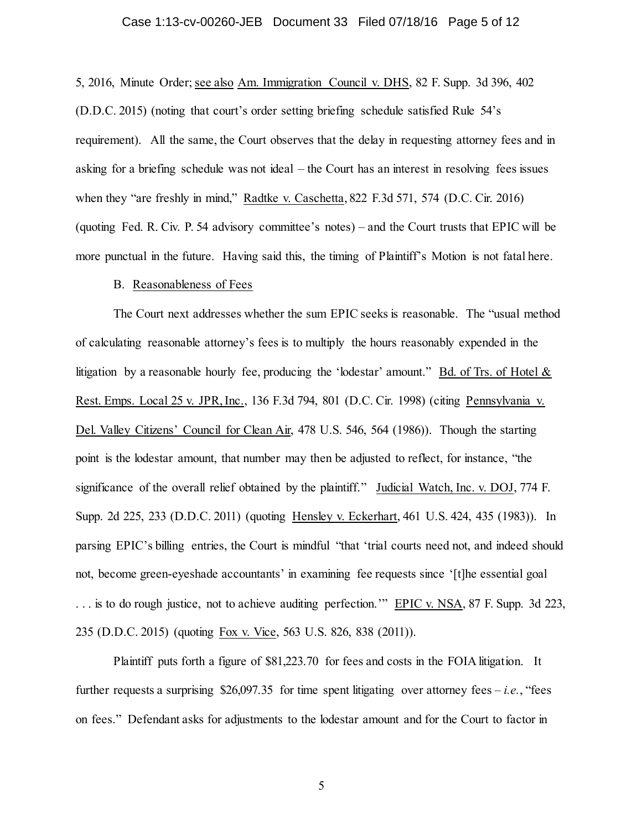### Case 1:13-cv-00260-JEB Document 33 Filed 07/18/16 Page 5 of 12

5, 2016, Minute Order; see also Am. Immigration Council v. DHS, 82 F. Supp. 3d 396, 402 (D.D.C. 2015) (noting that court's order setting briefing schedule satisfied Rule 54's requirement). All the same, the Court observes that the delay in requesting attorney fees and in asking for a briefing schedule was not ideal – the Court has an interest in resolving fees issues when they "are freshly in mind," Radtke v. Caschetta, 822 F.3d 571, 574 (D.C. Cir. 2016) (quoting Fed. R. Civ. P. 54 advisory committee's notes) – and the Court trusts that EPIC will be more punctual in the future. Having said this, the timing of Plaintiff's Motion is not fatal here.

# B. Reasonableness of Fees

The Court next addresses whether the sum EPIC seeks is reasonable. The "usual method of calculating reasonable attorney's fees is to multiply the hours reasonably expended in the litigation by a reasonable hourly fee, producing the 'lodestar' amount." Bd. of Trs. of Hotel & Rest. Emps. Local 25 v. JPR, Inc., 136 F.3d 794, 801 (D.C. Cir. 1998) (citing Pennsylvania v. Del. Valley Citizens' Council for Clean Air, 478 U.S. 546, 564 (1986)). Though the starting point is the lodestar amount, that number may then be adjusted to reflect, for instance, "the significance of the overall relief obtained by the plaintiff." Judicial Watch, Inc. v. DOJ, 774 F. Supp. 2d 225, 233 (D.D.C. 2011) (quoting Hensley v. Eckerhart, 461 U.S. 424, 435 (1983)). In parsing EPIC's billing entries, the Court is mindful "that 'trial courts need not, and indeed should not, become green-eyeshade accountants' in examining fee requests since '[t]he essential goal . . . is to do rough justice, not to achieve auditing perfection.'" EPIC v. NSA, 87 F. Supp. 3d 223, 235 (D.D.C. 2015) (quoting Fox v. Vice, 563 U.S. 826, 838 (2011)).

Plaintiff puts forth a figure of \$81,223.70 for fees and costs in the FOIA litigation. It further requests a surprising  $$26,097.35$  for time spent litigating over attorney fees – *i.e.*, "fees on fees." Defendant asks for adjustments to the lodestar amount and for the Court to factor in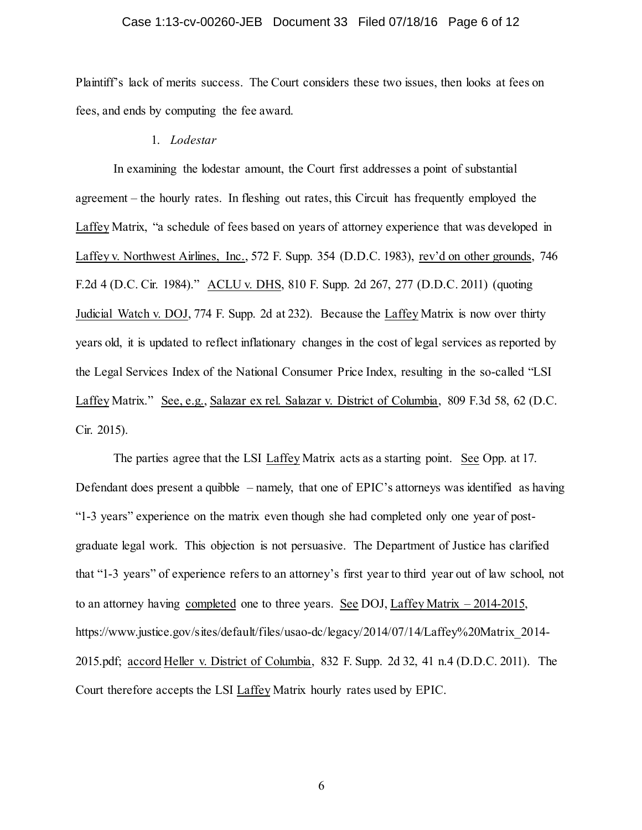#### Case 1:13-cv-00260-JEB Document 33 Filed 07/18/16 Page 6 of 12

Plaintiff's lack of merits success. The Court considers these two issues, then looks at fees on fees, and ends by computing the fee award.

#### 1. *Lodestar*

In examining the lodestar amount, the Court first addresses a point of substantial agreement – the hourly rates. In fleshing out rates, this Circuit has frequently employed the Laffey Matrix, "a schedule of fees based on years of attorney experience that was developed in Laffey v. Northwest Airlines, Inc., 572 F. Supp. 354 (D.D.C. 1983), rev'd on other grounds, 746 F.2d 4 (D.C. Cir. 1984)." ACLU v. DHS, 810 F. Supp. 2d 267, 277 (D.D.C. 2011) (quoting Judicial Watch v. DOJ, 774 F. Supp. 2d at 232). Because the Laffey Matrix is now over thirty years old, it is updated to reflect inflationary changes in the cost of legal services as reported by the Legal Services Index of the National Consumer Price Index, resulting in the so-called "LSI Laffey Matrix." See, e.g., Salazar ex rel. Salazar v. District of Columbia, 809 F.3d 58, 62 (D.C. Cir. 2015).

The parties agree that the LSI Laffey Matrix acts as a starting point. See Opp. at 17. Defendant does present a quibble – namely, that one of EPIC's attorneys was identified as having "1-3 years" experience on the matrix even though she had completed only one year of postgraduate legal work. This objection is not persuasive. The Department of Justice has clarified that "1-3 years" of experience refers to an attorney's first year to third year out of law school, not to an attorney having completed one to three years. See DOJ, Laffey Matrix – 2014-2015, https://www.justice.gov/sites/default/files/usao-dc/legacy/2014/07/14/Laffey%20Matrix 2014-2015.pdf; accord Heller v. District of Columbia, 832 F. Supp. 2d 32, 41 n.4 (D.D.C. 2011). The Court therefore accepts the LSI Laffey Matrix hourly rates used by EPIC.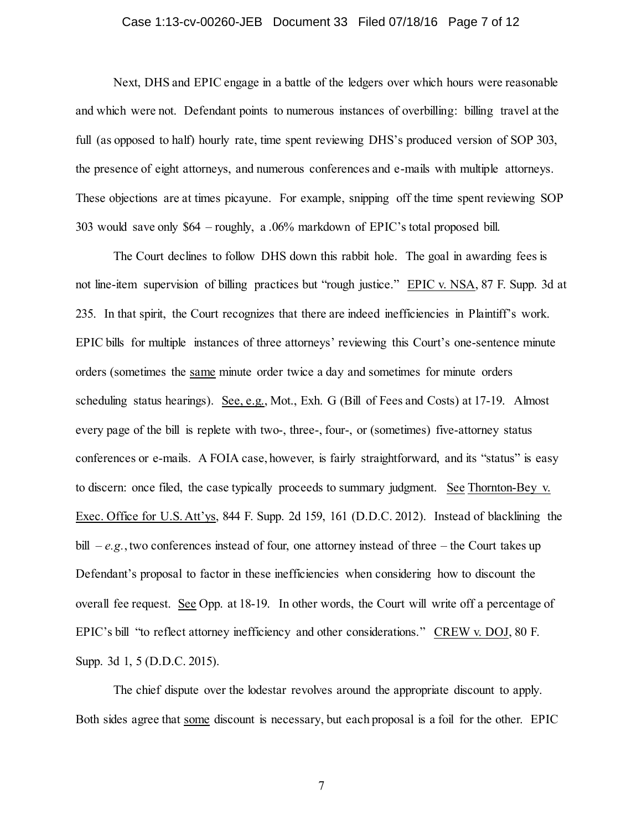# Case 1:13-cv-00260-JEB Document 33 Filed 07/18/16 Page 7 of 12

Next, DHS and EPIC engage in a battle of the ledgers over which hours were reasonable and which were not. Defendant points to numerous instances of overbilling: billing travel at the full (as opposed to half) hourly rate, time spent reviewing DHS's produced version of SOP 303, the presence of eight attorneys, and numerous conferences and e-mails with multiple attorneys. These objections are at times picayune. For example, snipping off the time spent reviewing SOP 303 would save only \$64 – roughly, a .06% markdown of EPIC's total proposed bill.

The Court declines to follow DHS down this rabbit hole. The goal in awarding fees is not line-item supervision of billing practices but "rough justice." EPIC v. NSA, 87 F. Supp. 3d at 235. In that spirit, the Court recognizes that there are indeed inefficiencies in Plaintiff's work. EPIC bills for multiple instances of three attorneys' reviewing this Court's one-sentence minute orders (sometimes the same minute order twice a day and sometimes for minute orders scheduling status hearings). <u>See, e.g.</u>, Mot., Exh. G (Bill of Fees and Costs) at 17-19. Almost every page of the bill is replete with two-, three-, four-, or (sometimes) five-attorney status conferences or e-mails. A FOIA case, however, is fairly straightforward, and its "status" is easy to discern: once filed, the case typically proceeds to summary judgment. See Thornton-Bey v. Exec. Office for U.S. Att'ys, 844 F. Supp. 2d 159, 161 (D.D.C. 2012). Instead of blacklining the bill  $-e.g.,$  two conferences instead of four, one attorney instead of three – the Court takes up Defendant's proposal to factor in these inefficiencies when considering how to discount the overall fee request. See Opp. at 18-19. In other words, the Court will write off a percentage of EPIC's bill "to reflect attorney inefficiency and other considerations." CREW v. DOJ, 80 F. Supp. 3d 1, 5 (D.D.C. 2015).

The chief dispute over the lodestar revolves around the appropriate discount to apply. Both sides agree that some discount is necessary, but each proposal is a foil for the other. EPIC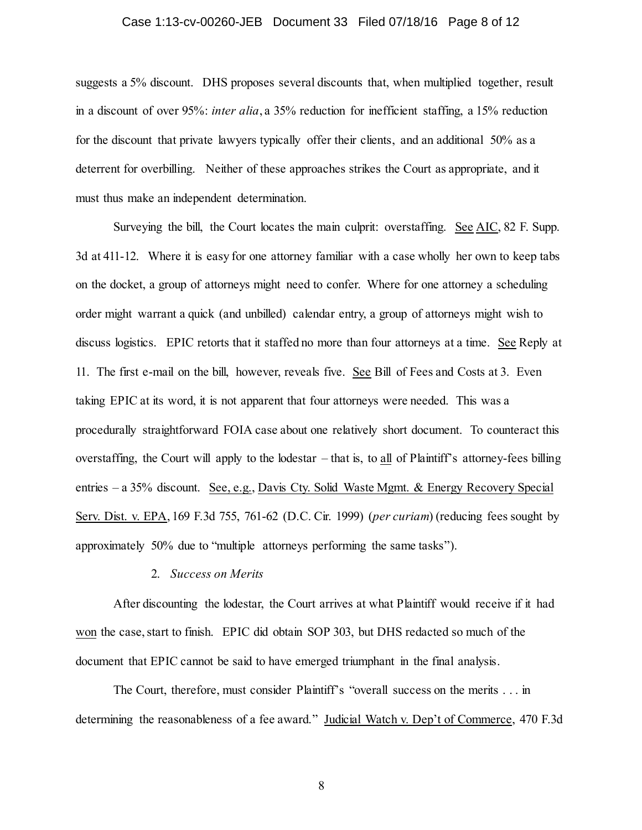# Case 1:13-cv-00260-JEB Document 33 Filed 07/18/16 Page 8 of 12

suggests a 5% discount. DHS proposes several discounts that, when multiplied together, result in a discount of over 95%: *inter alia*, a 35% reduction for inefficient staffing, a 15% reduction for the discount that private lawyers typically offer their clients, and an additional 50% as a deterrent for overbilling. Neither of these approaches strikes the Court as appropriate, and it must thus make an independent determination.

Surveying the bill, the Court locates the main culprit: overstaffing. See AIC, 82 F. Supp. 3d at 411-12. Where it is easy for one attorney familiar with a case wholly her own to keep tabs on the docket, a group of attorneys might need to confer. Where for one attorney a scheduling order might warrant a quick (and unbilled) calendar entry, a group of attorneys might wish to discuss logistics. EPIC retorts that it staffed no more than four attorneys at a time. See Reply at 11. The first e-mail on the bill, however, reveals five. See Bill of Fees and Costs at 3. Even taking EPIC at its word, it is not apparent that four attorneys were needed. This was a procedurally straightforward FOIA case about one relatively short document. To counteract this overstaffing, the Court will apply to the lodestar – that is, to all of Plaintiff's attorney-fees billing entries – a 35% discount. See, e.g., Davis Cty. Solid Waste Mgmt. & Energy Recovery Special Serv. Dist. v. EPA, 169 F.3d 755, 761-62 (D.C. Cir. 1999) (*per curiam*) (reducing fees sought by approximately 50% due to "multiple attorneys performing the same tasks").

# 2. *Success on Merits*

After discounting the lodestar, the Court arrives at what Plaintiff would receive if it had won the case, start to finish. EPIC did obtain SOP 303, but DHS redacted so much of the document that EPIC cannot be said to have emerged triumphant in the final analysis.

The Court, therefore, must consider Plaintiff's "overall success on the merits . . . in determining the reasonableness of a fee award." Judicial Watch v. Dep't of Commerce, 470 F.3d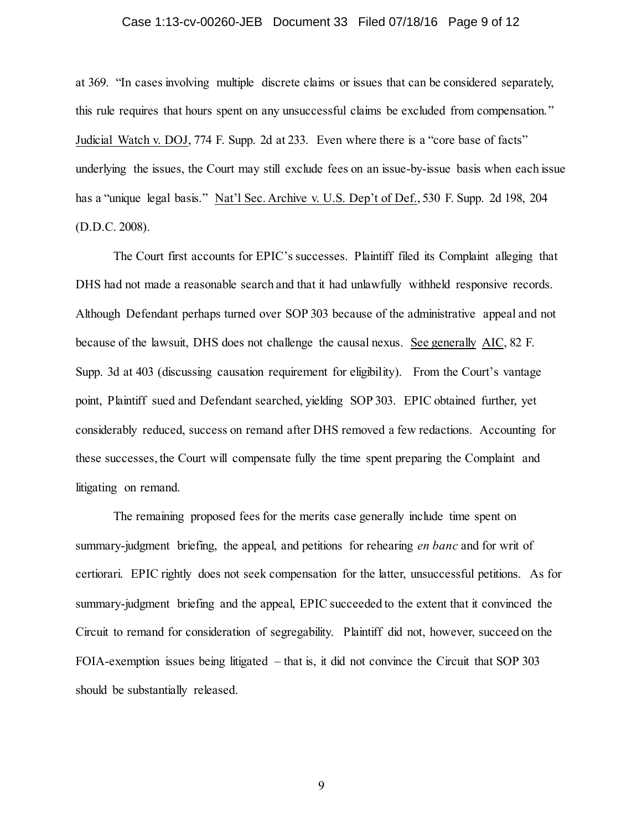# Case 1:13-cv-00260-JEB Document 33 Filed 07/18/16 Page 9 of 12

at 369. "In cases involving multiple discrete claims or issues that can be considered separately, this rule requires that hours spent on any unsuccessful claims be excluded from compensation." Judicial Watch v. DOJ, 774 F. Supp. 2d at 233. Even where there is a "core base of facts" underlying the issues, the Court may still exclude fees on an issue-by-issue basis when each issue has a "unique legal basis." Nat'l Sec. Archive v. U.S. Dep't of Def., 530 F. Supp. 2d 198, 204 (D.D.C. 2008).

The Court first accounts for EPIC's successes. Plaintiff filed its Complaint alleging that DHS had not made a reasonable search and that it had unlawfully withheld responsive records. Although Defendant perhaps turned over SOP 303 because of the administrative appeal and not because of the lawsuit, DHS does not challenge the causal nexus. See generally AIC, 82 F. Supp. 3d at 403 (discussing causation requirement for eligibility). From the Court's vantage point, Plaintiff sued and Defendant searched, yielding SOP 303. EPIC obtained further, yet considerably reduced, success on remand after DHS removed a few redactions. Accounting for these successes, the Court will compensate fully the time spent preparing the Complaint and litigating on remand.

The remaining proposed fees for the merits case generally include time spent on summary-judgment briefing, the appeal, and petitions for rehearing *en banc* and for writ of certiorari. EPIC rightly does not seek compensation for the latter, unsuccessful petitions. As for summary-judgment briefing and the appeal, EPIC succeeded to the extent that it convinced the Circuit to remand for consideration of segregability. Plaintiff did not, however, succeed on the FOIA-exemption issues being litigated – that is, it did not convince the Circuit that SOP 303 should be substantially released.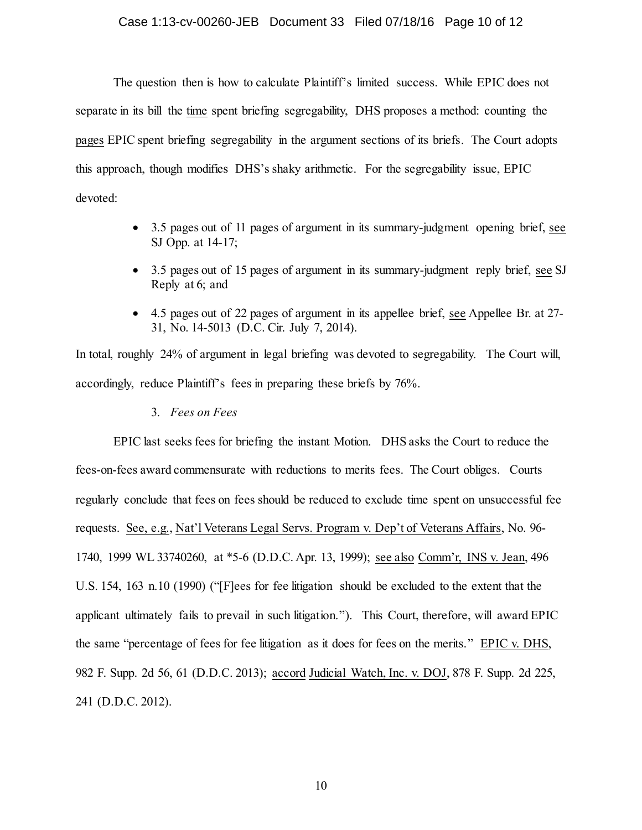# Case 1:13-cv-00260-JEB Document 33 Filed 07/18/16 Page 10 of 12

The question then is how to calculate Plaintiff's limited success. While EPIC does not separate in its bill the time spent briefing segregability, DHS proposes a method: counting the pages EPIC spent briefing segregability in the argument sections of its briefs. The Court adopts this approach, though modifies DHS's shaky arithmetic. For the segregability issue, EPIC devoted:

- x 3.5 pages out of 11 pages of argument in its summary-judgment opening brief, see SJ Opp. at 14-17;
- 3.5 pages out of 15 pages of argument in its summary-judgment reply brief, see SJ Reply at 6; and
- x 4.5 pages out of 22 pages of argument in its appellee brief, see Appellee Br. at 27- 31, No. 14-5013 (D.C. Cir. July 7, 2014).

In total, roughly 24% of argument in legal briefing was devoted to segregability. The Court will, accordingly, reduce Plaintiff's fees in preparing these briefs by 76%.

3. *Fees on Fees*

EPIC last seeks fees for briefing the instant Motion. DHS asks the Court to reduce the fees-on-fees award commensurate with reductions to merits fees. The Court obliges. Courts regularly conclude that fees on fees should be reduced to exclude time spent on unsuccessful fee requests. See, e.g., Nat'l Veterans Legal Servs. Program v. Dep't of Veterans Affairs, No. 96- 1740, 1999 WL 33740260, at \*5-6 (D.D.C. Apr. 13, 1999); see also Comm'r, INS v. Jean, 496 U.S. 154, 163 n.10 (1990) ("[F]ees for fee litigation should be excluded to the extent that the applicant ultimately fails to prevail in such litigation."). This Court, therefore, will award EPIC the same "percentage of fees for fee litigation as it does for fees on the merits." EPIC v. DHS, 982 F. Supp. 2d 56, 61 (D.D.C. 2013); accord Judicial Watch, Inc. v. DOJ, 878 F. Supp. 2d 225, 241 (D.D.C. 2012).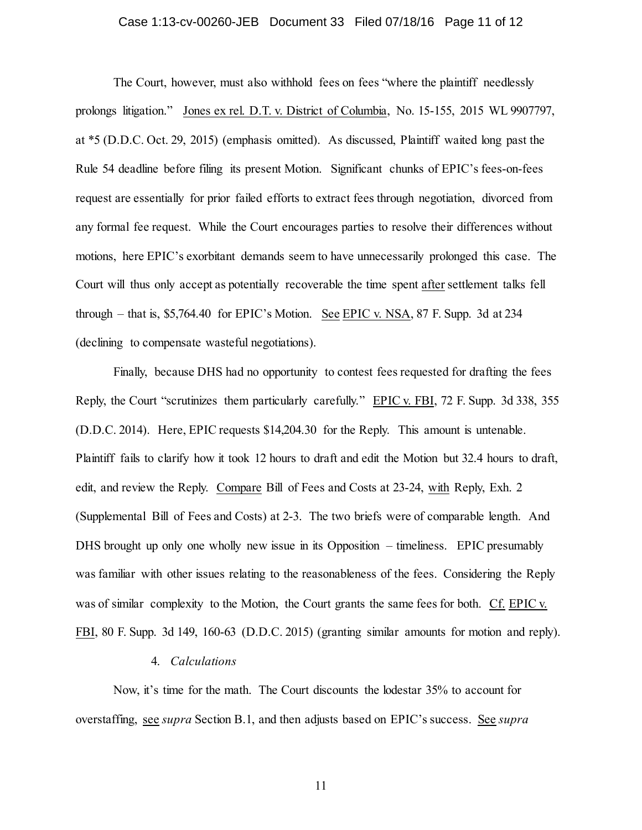# Case 1:13-cv-00260-JEB Document 33 Filed 07/18/16 Page 11 of 12

The Court, however, must also withhold fees on fees "where the plaintiff needlessly prolongs litigation." Jones ex rel. D.T. v. District of Columbia, No. 15-155, 2015 WL 9907797, at \*5 (D.D.C. Oct. 29, 2015) (emphasis omitted). As discussed, Plaintiff waited long past the Rule 54 deadline before filing its present Motion. Significant chunks of EPIC's fees-on-fees request are essentially for prior failed efforts to extract fees through negotiation, divorced from any formal fee request. While the Court encourages parties to resolve their differences without motions, here EPIC's exorbitant demands seem to have unnecessarily prolonged this case. The Court will thus only accept as potentially recoverable the time spent after settlement talks fell through – that is, \$5,764.40 for EPIC's Motion. See EPIC v. NSA, 87 F. Supp. 3d at 234 (declining to compensate wasteful negotiations).

Finally, because DHS had no opportunity to contest fees requested for drafting the fees Reply, the Court "scrutinizes them particularly carefully." EPIC v. FBI, 72 F. Supp. 3d 338, 355 (D.D.C. 2014). Here, EPIC requests \$14,204.30 for the Reply. This amount is untenable. Plaintiff fails to clarify how it took 12 hours to draft and edit the Motion but 32.4 hours to draft, edit, and review the Reply. Compare Bill of Fees and Costs at 23-24, with Reply, Exh. 2 (Supplemental Bill of Fees and Costs) at 2-3. The two briefs were of comparable length. And DHS brought up only one wholly new issue in its Opposition – timeliness. EPIC presumably was familiar with other issues relating to the reasonableness of the fees. Considering the Reply was of similar complexity to the Motion, the Court grants the same fees for both. Cf. EPIC v. FBI, 80 F. Supp. 3d 149, 160-63 (D.D.C. 2015) (granting similar amounts for motion and reply).

# 4. *Calculations*

Now, it's time for the math. The Court discounts the lodestar 35% to account for overstaffing, see *supra* Section B.1, and then adjusts based on EPIC's success. See *supra*